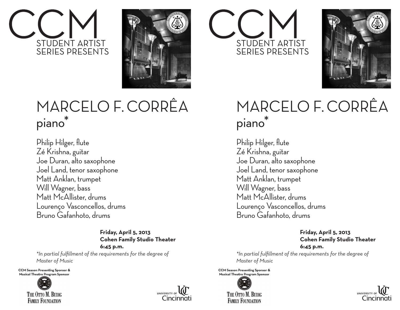



## MARCELO F. CORRÊA piano\*

Philip Hilger, flute Zé Krishna, guitar Joe Duran, alto saxophone Joel Land, tenor saxophone Matt Anklan, trumpet Will Wagner, bass Matt McAllister, drums Lourenço Vasconcellos, drums Bruno Gafanhoto, drums

> **Friday, April 5, 2013 Cohen Family Studio Theater 6:45 p.m.**

*\*In partial fulfillment of the requirements for the degree of Master of Music*

**CCM Season Presenting Sponsor &** Musical Theatre Program Sponsor